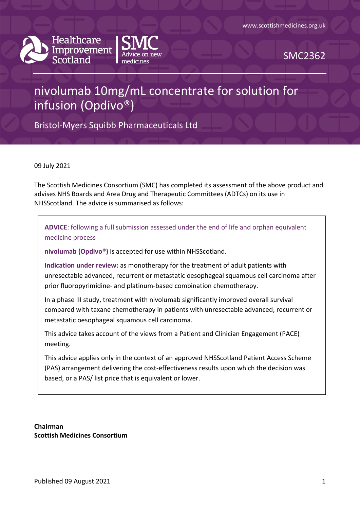



SMC2362

# nivolumab 10mg/mL concentrate for solution for infusion (Opdivo®)

Bristol-Myers Squibb Pharmaceuticals Ltd

09 July 2021

The Scottish Medicines Consortium (SMC) has completed its assessment of the above product and advises NHS Boards and Area Drug and Therapeutic Committees (ADTCs) on its use in NHSScotland. The advice is summarised as follows:

**ADVICE**: following a full submission assessed under the end of life and orphan equivalent medicine process

**nivolumab (Opdivo®)** is accepted for use within NHSScotland.

**Indication under review:** as monotherapy for the treatment of adult patients with unresectable advanced, recurrent or metastatic oesophageal squamous cell carcinoma after prior fluoropyrimidine- and platinum-based combination chemotherapy.

In a phase III study, treatment with nivolumab significantly improved overall survival compared with taxane chemotherapy in patients with unresectable advanced, recurrent or metastatic oesophageal squamous cell carcinoma.

This advice takes account of the views from a Patient and Clinician Engagement (PACE) meeting.

This advice applies only in the context of an approved NHSScotland Patient Access Scheme (PAS) arrangement delivering the cost-effectiveness results upon which the decision was based, or a PAS/ list price that is equivalent or lower.

**Chairman Scottish Medicines Consortium**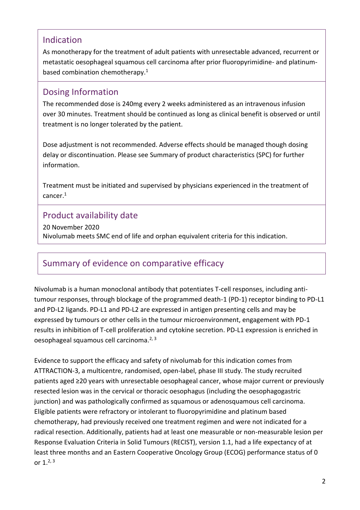### Indication

As monotherapy for the treatment of adult patients with unresectable advanced, recurrent or metastatic oesophageal squamous cell carcinoma after prior fluoropyrimidine- and platinumbased combination chemotherapy.<sup>1</sup>

### Dosing Information

The recommended dose is 240mg every 2 weeks administered as an intravenous infusion over 30 minutes. Treatment should be continued as long as clinical benefit is observed or until treatment is no longer tolerated by the patient.

Dose adjustment is not recommended. Adverse effects should be managed though dosing delay or discontinuation. Please see Summary of product characteristics (SPC) for further information.

Treatment must be initiated and supervised by physicians experienced in the treatment of cancer.<sup>1</sup>

### Product availability date

20 November 2020 Nivolumab meets SMC end of life and orphan equivalent criteria for this indication.

### Summary of evidence on comparative efficacy

Nivolumab is a human monoclonal antibody that potentiates T-cell responses, including antitumour responses, through blockage of the programmed death-1 (PD-1) receptor binding to PD-L1 and PD-L2 ligands. PD-L1 and PD-L2 are expressed in antigen presenting cells and may be expressed by tumours or other cells in the tumour microenvironment, engagement with PD-1 results in inhibition of T-cell proliferation and cytokine secretion. PD-L1 expression is enriched in oesophageal squamous cell carcinoma.<sup>2, 3</sup>

Evidence to support the efficacy and safety of nivolumab for this indication comes from ATTRACTION-3, a multicentre, randomised, open-label, phase III study. The study recruited patients aged ≥20 years with unresectable oesophageal cancer, whose major current or previously resected lesion was in the cervical or thoracic oesophagus (including the oesophagogastric junction) and was pathologically confirmed as squamous or adenosquamous cell carcinoma. Eligible patients were refractory or intolerant to fluoropyrimidine and platinum based chemotherapy, had previously received one treatment regimen and were not indicated for a radical resection. Additionally, patients had at least one measurable or non-measurable lesion per Response Evaluation Criteria in Solid Tumours (RECIST), version 1.1, had a life expectancy of at least three months and an Eastern Cooperative Oncology Group (ECOG) performance status of 0 or  $1.^{2,3}$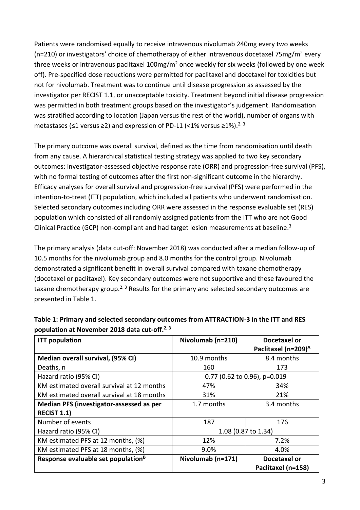Patients were randomised equally to receive intravenous nivolumab 240mg every two weeks (n=210) or investigators' choice of chemotherapy of either intravenous docetaxel 75mg/m<sup>2</sup> every three weeks or intravenous paclitaxel 100mg/m<sup>2</sup> once weekly for six weeks (followed by one week off). Pre-specified dose reductions were permitted for paclitaxel and docetaxel for toxicities but not for nivolumab. Treatment was to continue until disease progression as assessed by the investigator per RECIST 1.1, or unacceptable toxicity. Treatment beyond initial disease progression was permitted in both treatment groups based on the investigator's judgement. Randomisation was stratified according to location (Japan versus the rest of the world), number of organs with metastases (≤1 versus ≥2) and expression of PD-L1 (<1% versus ≥1%).<sup>2, 3</sup>

The primary outcome was overall survival, defined as the time from randomisation until death from any cause. A hierarchical statistical testing strategy was applied to two key secondary outcomes: investigator-assessed objective response rate (ORR) and progression-free survival (PFS), with no formal testing of outcomes after the first non-significant outcome in the hierarchy. Efficacy analyses for overall survival and progression-free survival (PFS) were performed in the intention-to-treat (ITT) population, which included all patients who underwent randomisation. Selected secondary outcomes including ORR were assessed in the response evaluable set (RES) population which consisted of all randomly assigned patients from the ITT who are not Good Clinical Practice (GCP) non-compliant and had target lesion measurements at baseline.<sup>3</sup>

The primary analysis (data cut-off: November 2018) was conducted after a median follow-up of 10.5 months for the nivolumab group and 8.0 months for the control group. Nivolumab demonstrated a significant benefit in overall survival compared with taxane chemotherapy (docetaxel or paclitaxel). Key secondary outcomes were not supportive and these favoured the taxane chemotherapy group.<sup>2, 3</sup> Results for the primary and selected secondary outcomes are presented in Table 1.

| <b>ITT</b> population                          | Nivolumab (n=210)            | Docetaxel or                    |
|------------------------------------------------|------------------------------|---------------------------------|
|                                                |                              | Paclitaxel (n=209) <sup>A</sup> |
| Median overall survival, (95% CI)              | 10.9 months                  | 8.4 months                      |
| Deaths, n                                      | 160                          | 173                             |
| Hazard ratio (95% CI)                          | 0.77 (0.62 to 0.96), p=0.019 |                                 |
| KM estimated overall survival at 12 months     | 47%                          | 34%                             |
| KM estimated overall survival at 18 months     | 31%                          | 21%                             |
| Median PFS (investigator-assessed as per       | 1.7 months                   | 3.4 months                      |
| <b>RECIST 1.1)</b>                             |                              |                                 |
| Number of events                               | 187                          | 176                             |
| Hazard ratio (95% CI)                          | 1.08 (0.87 to 1.34)          |                                 |
| KM estimated PFS at 12 months, (%)             | 12%                          | 7.2%                            |
| KM estimated PFS at 18 months, (%)             | 9.0%                         | 4.0%                            |
| Response evaluable set population <sup>B</sup> | Nivolumab (n=171)            | Docetaxel or                    |
|                                                |                              | Paclitaxel (n=158)              |

#### **Table 1: Primary and selected secondary outcomes from ATTRACTION-3 in the ITT and RES population at November 2018 data cut-off.2, 3**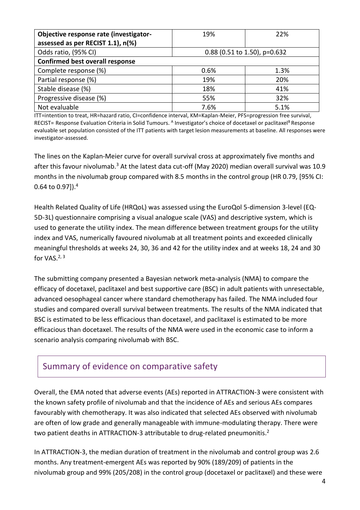| Objective response rate (investigator-<br>assessed as per RECIST 1.1), n(%) | 19%                            | 22%  |
|-----------------------------------------------------------------------------|--------------------------------|------|
| Odds ratio, (95% CI)                                                        | 0.88 (0.51 to 1.50), $p=0.632$ |      |
| <b>Confirmed best overall response</b>                                      |                                |      |
| Complete response (%)                                                       | 0.6%                           | 1.3% |
| Partial response (%)                                                        | 19%                            | 20%  |
| Stable disease (%)                                                          | 18%                            | 41%  |
| Progressive disease (%)                                                     | 55%                            | 32%  |
| Not evaluable                                                               | 7.6%                           | 5.1% |

ITT=intention to treat, HR=hazard ratio, CI=confidence interval, KM=Kaplan-Meier, PFS=progression free survival, RECIST= Response Evaluation Criteria in Solid Tumours. <sup>A</sup> Investigator's choice of docetaxel or paclitaxel<sup>B</sup> Response evaluable set population consisted of the ITT patients with target lesion measurements at baseline. All responses were investigator-assessed.

The lines on the Kaplan-Meier curve for overall survival cross at approximately five months and after this favour nivolumab.<sup>3</sup> At the latest data cut-off (May 2020) median overall survival was 10.9 months in the nivolumab group compared with 8.5 months in the control group (HR 0.79, [95% CI: 0.64 to 0.97]). 4

Health Related Quality of Life (HRQoL) was assessed using the EuroQol 5-dimension 3-level (EQ-5D-3L) questionnaire comprising a visual analogue scale (VAS) and descriptive system, which is used to generate the utility index. The mean difference between treatment groups for the utility index and VAS, numerically favoured nivolumab at all treatment points and exceeded clinically meaningful thresholds at weeks 24, 30, 36 and 42 for the utility index and at weeks 18, 24 and 30 for  $VAS.$ <sup>2, 3</sup>

The submitting company presented a Bayesian network meta-analysis (NMA) to compare the efficacy of docetaxel, paclitaxel and best supportive care (BSC) in adult patients with unresectable, advanced oesophageal cancer where standard chemotherapy has failed. The NMA included four studies and compared overall survival between treatments. The results of the NMA indicated that BSC is estimated to be less efficacious than docetaxel, and paclitaxel is estimated to be more efficacious than docetaxel. The results of the NMA were used in the economic case to inform a scenario analysis comparing nivolumab with BSC.

### Summary of evidence on comparative safety

Overall, the EMA noted that adverse events (AEs) reported in ATTRACTION-3 were consistent with the known safety profile of nivolumab and that the incidence of AEs and serious AEs compares favourably with chemotherapy. It was also indicated that selected AEs observed with nivolumab are often of low grade and generally manageable with immune-modulating therapy. There were two patient deaths in ATTRACTION-3 attributable to drug-related pneumonitis.<sup>2</sup>

In ATTRACTION-3, the median duration of treatment in the nivolumab and control group was 2.6 months. Any treatment-emergent AEs was reported by 90% (189/209) of patients in the nivolumab group and 99% (205/208) in the control group (docetaxel or paclitaxel) and these were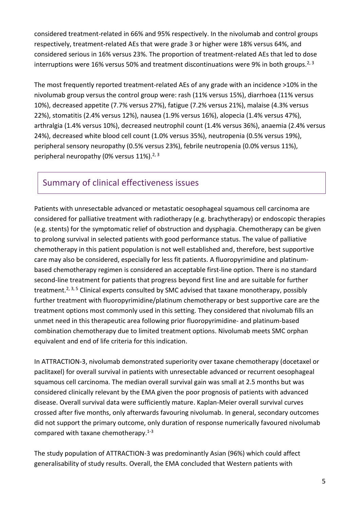considered treatment-related in 66% and 95% respectively. In the nivolumab and control groups respectively, treatment-related AEs that were grade 3 or higher were 18% versus 64%, and considered serious in 16% versus 23%. The proportion of treatment-related AEs that led to dose interruptions were 16% versus 50% and treatment discontinuations were 9% in both groups.<sup>2, 3</sup>

The most frequently reported treatment-related AEs of any grade with an incidence >10% in the nivolumab group versus the control group were: rash (11% versus 15%), diarrhoea (11% versus 10%), decreased appetite (7.7% versus 27%), fatigue (7.2% versus 21%), malaise (4.3% versus 22%), stomatitis (2.4% versus 12%), nausea (1.9% versus 16%), alopecia (1.4% versus 47%), arthralgia (1.4% versus 10%), decreased neutrophil count (1.4% versus 36%), anaemia (2.4% versus 24%), decreased white blood cell count (1.0% versus 35%), neutropenia (0.5% versus 19%), peripheral sensory neuropathy (0.5% versus 23%), febrile neutropenia (0.0% versus 11%), peripheral neuropathy (0% versus  $11\%$ ).<sup>2, 3</sup>

### Summary of clinical effectiveness issues

Patients with unresectable advanced or metastatic oesophageal squamous cell carcinoma are considered for palliative treatment with radiotherapy (e.g. brachytherapy) or endoscopic therapies (e.g. stents) for the symptomatic relief of obstruction and dysphagia. Chemotherapy can be given to prolong survival in selected patients with good performance status. The value of palliative chemotherapy in this patient population is not well established and, therefore, best supportive care may also be considered, especially for less fit patients. A fluoropyrimidine and platinumbased chemotherapy regimen is considered an acceptable first-line option. There is no standard second-line treatment for patients that progress beyond first line and are suitable for further treatment.<sup>2, 3, 5</sup> Clinical experts consulted by SMC advised that taxane monotherapy, possibly further treatment with fluoropyrimidine/platinum chemotherapy or best supportive care are the treatment options most commonly used in this setting. They considered that nivolumab fills an unmet need in this therapeutic area following prior fluoropyrimidine- and platinum-based combination chemotherapy due to limited treatment options. Nivolumab meets SMC orphan equivalent and end of life criteria for this indication.

In ATTRACTION-3, nivolumab demonstrated superiority over taxane chemotherapy (docetaxel or paclitaxel) for overall survival in patients with unresectable advanced or recurrent oesophageal squamous cell carcinoma. The median overall survival gain was small at 2.5 months but was considered clinically relevant by the EMA given the poor prognosis of patients with advanced disease. Overall survival data were sufficiently mature. Kaplan-Meier overall survival curves crossed after five months, only afterwards favouring nivolumab. In general, secondary outcomes did not support the primary outcome, only duration of response numerically favoured nivolumab compared with taxane chemotherapy.<sup>1-3</sup>

The study population of ATTRACTION-3 was predominantly Asian (96%) which could affect generalisability of study results. Overall, the EMA concluded that Western patients with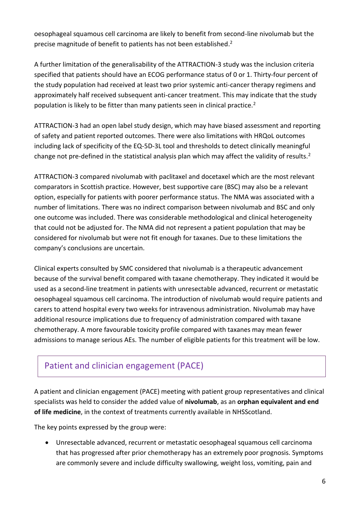oesophageal squamous cell carcinoma are likely to benefit from second-line nivolumab but the precise magnitude of benefit to patients has not been established.<sup>2</sup>

A further limitation of the generalisability of the ATTRACTION-3 study was the inclusion criteria specified that patients should have an ECOG performance status of 0 or 1. Thirty-four percent of the study population had received at least two prior systemic anti-cancer therapy regimens and approximately half received subsequent anti-cancer treatment. This may indicate that the study population is likely to be fitter than many patients seen in clinical practice.<sup>2</sup>

ATTRACTION-3 had an open label study design, which may have biased assessment and reporting of safety and patient reported outcomes. There were also limitations with HRQoL outcomes including lack of specificity of the EQ-5D-3L tool and thresholds to detect clinically meaningful change not pre-defined in the statistical analysis plan which may affect the validity of results.<sup>2</sup>

ATTRACTION-3 compared nivolumab with paclitaxel and docetaxel which are the most relevant comparators in Scottish practice. However, best supportive care (BSC) may also be a relevant option, especially for patients with poorer performance status. The NMA was associated with a number of limitations. There was no indirect comparison between nivolumab and BSC and only one outcome was included. There was considerable methodological and clinical heterogeneity that could not be adjusted for. The NMA did not represent a patient population that may be considered for nivolumab but were not fit enough for taxanes. Due to these limitations the company's conclusions are uncertain.

Clinical experts consulted by SMC considered that nivolumab is a therapeutic advancement because of the survival benefit compared with taxane chemotherapy. They indicated it would be used as a second-line treatment in patients with unresectable advanced, recurrent or metastatic oesophageal squamous cell carcinoma. The introduction of nivolumab would require patients and carers to attend hospital every two weeks for intravenous administration. Nivolumab may have additional resource implications due to frequency of administration compared with taxane chemotherapy. A more favourable toxicity profile compared with taxanes may mean fewer admissions to manage serious AEs. The number of eligible patients for this treatment will be low.

# Patient and clinician engagement (PACE)

A patient and clinician engagement (PACE) meeting with patient group representatives and clinical specialists was held to consider the added value of **nivolumab**, as an **orphan equivalent and end of life medicine**, in the context of treatments currently available in NHSScotland.

The key points expressed by the group were:

 Unresectable advanced, recurrent or metastatic oesophageal squamous cell carcinoma that has progressed after prior chemotherapy has an extremely poor prognosis. Symptoms are commonly severe and include difficulty swallowing, weight loss, vomiting, pain and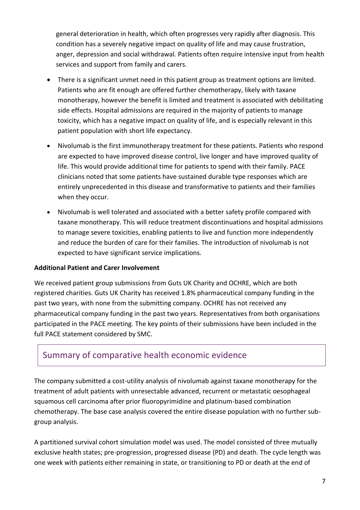general deterioration in health, which often progresses very rapidly after diagnosis. This condition has a severely negative impact on quality of life and may cause frustration, anger, depression and social withdrawal. Patients often require intensive input from health services and support from family and carers.

- There is a significant unmet need in this patient group as treatment options are limited. Patients who are fit enough are offered further chemotherapy, likely with taxane monotherapy, however the benefit is limited and treatment is associated with debilitating side effects. Hospital admissions are required in the majority of patients to manage toxicity, which has a negative impact on quality of life, and is especially relevant in this patient population with short life expectancy.
- Nivolumab is the first immunotherapy treatment for these patients. Patients who respond are expected to have improved disease control, live longer and have improved quality of life. This would provide additional time for patients to spend with their family. PACE clinicians noted that some patients have sustained durable type responses which are entirely unprecedented in this disease and transformative to patients and their families when they occur.
- Nivolumab is well tolerated and associated with a better safety profile compared with taxane monotherapy. This will reduce treatment discontinuations and hospital admissions to manage severe toxicities, enabling patients to live and function more independently and reduce the burden of care for their families. The introduction of nivolumab is not expected to have significant service implications.

#### **Additional Patient and Carer Involvement**

We received patient group submissions from Guts UK Charity and OCHRE, which are both registered charities. Guts UK Charity has received 1.8% pharmaceutical company funding in the past two years, with none from the submitting company. OCHRE has not received any pharmaceutical company funding in the past two years. Representatives from both organisations participated in the PACE meeting. The key points of their submissions have been included in the full PACE statement considered by SMC.

### Summary of comparative health economic evidence

The company submitted a cost-utility analysis of nivolumab against taxane monotherapy for the treatment of adult patients with unresectable advanced, recurrent or metastatic oesophageal squamous cell carcinoma after prior fluoropyrimidine and platinum-based combination chemotherapy. The base case analysis covered the entire disease population with no further subgroup analysis.

A partitioned survival cohort simulation model was used. The model consisted of three mutually exclusive health states; pre-progression, progressed disease (PD) and death. The cycle length was one week with patients either remaining in state, or transitioning to PD or death at the end of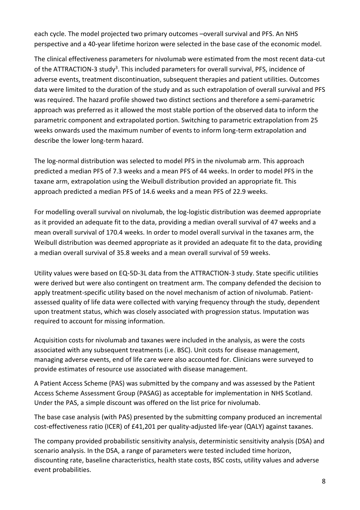each cycle. The model projected two primary outcomes –overall survival and PFS. An NHS perspective and a 40-year lifetime horizon were selected in the base case of the economic model.

The clinical effectiveness parameters for nivolumab were estimated from the most recent data-cut of the ATTRACTION-3 study<sup>3</sup>. This included parameters for overall survival, PFS, incidence of adverse events, treatment discontinuation, subsequent therapies and patient utilities. Outcomes data were limited to the duration of the study and as such extrapolation of overall survival and PFS was required. The hazard profile showed two distinct sections and therefore a semi-parametric approach was preferred as it allowed the most stable portion of the observed data to inform the parametric component and extrapolated portion. Switching to parametric extrapolation from 25 weeks onwards used the maximum number of events to inform long-term extrapolation and describe the lower long-term hazard.

The log-normal distribution was selected to model PFS in the nivolumab arm. This approach predicted a median PFS of 7.3 weeks and a mean PFS of 44 weeks. In order to model PFS in the taxane arm, extrapolation using the Weibull distribution provided an appropriate fit. This approach predicted a median PFS of 14.6 weeks and a mean PFS of 22.9 weeks.

For modelling overall survival on nivolumab, the log-logistic distribution was deemed appropriate as it provided an adequate fit to the data, providing a median overall survival of 47 weeks and a mean overall survival of 170.4 weeks. In order to model overall survival in the taxanes arm, the Weibull distribution was deemed appropriate as it provided an adequate fit to the data, providing a median overall survival of 35.8 weeks and a mean overall survival of 59 weeks.

Utility values were based on EQ-5D-3L data from the ATTRACTION-3 study. State specific utilities were derived but were also contingent on treatment arm. The company defended the decision to apply treatment-specific utility based on the novel mechanism of action of nivolumab. Patientassessed quality of life data were collected with varying frequency through the study, dependent upon treatment status, which was closely associated with progression status. Imputation was required to account for missing information.

Acquisition costs for nivolumab and taxanes were included in the analysis, as were the costs associated with any subsequent treatments (i.e. BSC). Unit costs for disease management, managing adverse events, end of life care were also accounted for. Clinicians were surveyed to provide estimates of resource use associated with disease management.

A Patient Access Scheme (PAS) was submitted by the company and was assessed by the Patient Access Scheme Assessment Group (PASAG) as acceptable for implementation in NHS Scotland. Under the PAS, a simple discount was offered on the list price for nivolumab.

The base case analysis (with PAS) presented by the submitting company produced an incremental cost-effectiveness ratio (ICER) of £41,201 per quality-adjusted life-year (QALY) against taxanes.

The company provided probabilistic sensitivity analysis, deterministic sensitivity analysis (DSA) and scenario analysis. In the DSA, a range of parameters were tested included time horizon, discounting rate, baseline characteristics, health state costs, BSC costs, utility values and adverse event probabilities.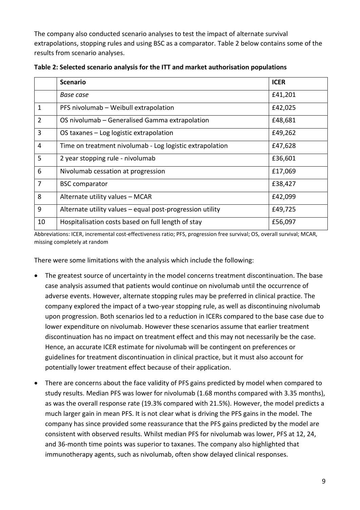The company also conducted scenario analyses to test the impact of alternate survival extrapolations, stopping rules and using BSC as a comparator. Table 2 below contains some of the results from scenario analyses.

|                | <b>Scenario</b>                                           | <b>ICER</b> |
|----------------|-----------------------------------------------------------|-------------|
|                | Base case                                                 | £41,201     |
| $\mathbf{1}$   | PFS nivolumab - Weibull extrapolation                     | £42,025     |
| $\overline{2}$ | OS nivolumab - Generalised Gamma extrapolation            | £48,681     |
| 3              | OS taxanes – Log logistic extrapolation                   | £49,262     |
| 4              | Time on treatment nivolumab - Log logistic extrapolation  | £47,628     |
| 5              | 2 year stopping rule - nivolumab                          | £36,601     |
| 6              | Nivolumab cessation at progression                        | £17,069     |
| $\overline{7}$ | <b>BSC</b> comparator                                     | £38,427     |
| 8              | Alternate utility values - MCAR                           | £42,099     |
| 9              | Alternate utility values - equal post-progression utility | £49,725     |
| 10             | Hospitalisation costs based on full length of stay        | £56,097     |

Abbreviations: ICER, incremental cost-effectiveness ratio; PFS, progression free survival; OS, overall survival; MCAR, missing completely at random

There were some limitations with the analysis which include the following:

- The greatest source of uncertainty in the model concerns treatment discontinuation. The base case analysis assumed that patients would continue on nivolumab until the occurrence of adverse events. However, alternate stopping rules may be preferred in clinical practice. The company explored the impact of a two-year stopping rule, as well as discontinuing nivolumab upon progression. Both scenarios led to a reduction in ICERs compared to the base case due to lower expenditure on nivolumab. However these scenarios assume that earlier treatment discontinuation has no impact on treatment effect and this may not necessarily be the case. Hence, an accurate ICER estimate for nivolumab will be contingent on preferences or guidelines for treatment discontinuation in clinical practice, but it must also account for potentially lower treatment effect because of their application.
- There are concerns about the face validity of PFS gains predicted by model when compared to study results. Median PFS was lower for nivolumab (1.68 months compared with 3.35 months), as was the overall response rate (19.3% compared with 21.5%). However, the model predicts a much larger gain in mean PFS. It is not clear what is driving the PFS gains in the model. The company has since provided some reassurance that the PFS gains predicted by the model are consistent with observed results. Whilst median PFS for nivolumab was lower, PFS at 12, 24, and 36-month time points was superior to taxanes. The company also highlighted that immunotherapy agents, such as nivolumab, often show delayed clinical responses.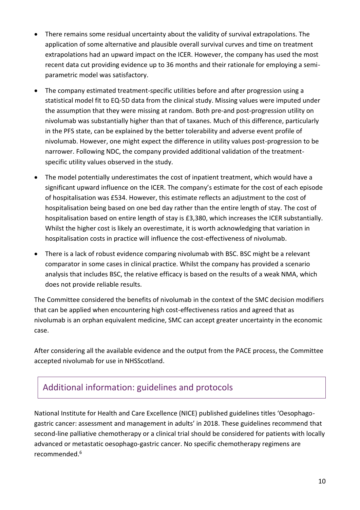- There remains some residual uncertainty about the validity of survival extrapolations. The application of some alternative and plausible overall survival curves and time on treatment extrapolations had an upward impact on the ICER. However, the company has used the most recent data cut providing evidence up to 36 months and their rationale for employing a semiparametric model was satisfactory.
- The company estimated treatment-specific utilities before and after progression using a statistical model fit to EQ-5D data from the clinical study. Missing values were imputed under the assumption that they were missing at random. Both pre-and post-progression utility on nivolumab was substantially higher than that of taxanes. Much of this difference, particularly in the PFS state, can be explained by the better tolerability and adverse event profile of nivolumab. However, one might expect the difference in utility values post-progression to be narrower. Following NDC, the company provided additional validation of the treatmentspecific utility values observed in the study.
- The model potentially underestimates the cost of inpatient treatment, which would have a significant upward influence on the ICER. The company's estimate for the cost of each episode of hospitalisation was £534. However, this estimate reflects an adjustment to the cost of hospitalisation being based on one bed day rather than the entire length of stay. The cost of hospitalisation based on entire length of stay is £3,380, which increases the ICER substantially. Whilst the higher cost is likely an overestimate, it is worth acknowledging that variation in hospitalisation costs in practice will influence the cost-effectiveness of nivolumab.
- There is a lack of robust evidence comparing nivolumab with BSC. BSC might be a relevant comparator in some cases in clinical practice. Whilst the company has provided a scenario analysis that includes BSC, the relative efficacy is based on the results of a weak NMA, which does not provide reliable results.

The Committee considered the benefits of nivolumab in the context of the SMC decision modifiers that can be applied when encountering high cost-effectiveness ratios and agreed that as nivolumab is an orphan equivalent medicine, SMC can accept greater uncertainty in the economic case.

After considering all the available evidence and the output from the PACE process, the Committee accepted nivolumab for use in NHSScotland.

# Additional information: guidelines and protocols

National Institute for Health and Care Excellence (NICE) published guidelines titles 'Oesophagogastric cancer: assessment and management in adults' in 2018. These guidelines recommend that second-line palliative chemotherapy or a clinical trial should be considered for patients with locally advanced or metastatic oesophago-gastric cancer. No specific chemotherapy regimens are recommended.6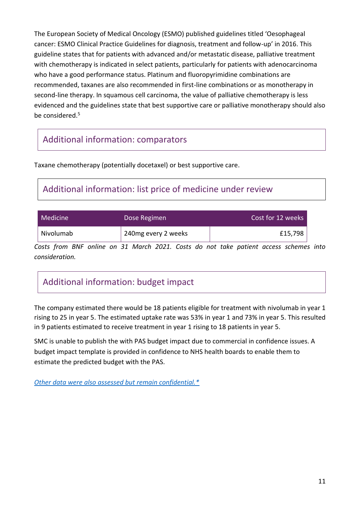The European Society of Medical Oncology (ESMO) published guidelines titled 'Oesophageal cancer: ESMO Clinical Practice Guidelines for diagnosis, treatment and follow-up' in 2016. This guideline states that for patients with advanced and/or metastatic disease, palliative treatment with chemotherapy is indicated in select patients, particularly for patients with adenocarcinoma who have a good performance status. Platinum and fluoropyrimidine combinations are recommended, taxanes are also recommended in first-line combinations or as monotherapy in second-line therapy. In squamous cell carcinoma, the value of palliative chemotherapy is less evidenced and the guidelines state that best supportive care or palliative monotherapy should also be considered.<sup>5</sup>

### Additional information: comparators

Taxane chemotherapy (potentially docetaxel) or best supportive care.

### Additional information: list price of medicine under review

| Medicine  | Dose Regimen        | Cost for 12 weeks |
|-----------|---------------------|-------------------|
| Nivolumab | 240mg every 2 weeks | £15,798           |

*Costs from BNF online on 31 March 2021. Costs do not take patient access schemes into consideration.*

# Additional information: budget impact

The company estimated there would be 18 patients eligible for treatment with nivolumab in year 1 rising to 25 in year 5. The estimated uptake rate was 53% in year 1 and 73% in year 5. This resulted in 9 patients estimated to receive treatment in year 1 rising to 18 patients in year 5.

SMC is unable to publish the with PAS budget impact due to commercial in confidence issues. A budget impact template is provided in confidence to NHS health boards to enable them to estimate the predicted budget with the PAS.

*[Other data were also assessed but remain confidential.\\*](https://www.scottishmedicines.org.uk/media/3572/20180710-release-of-company-data.pdf)*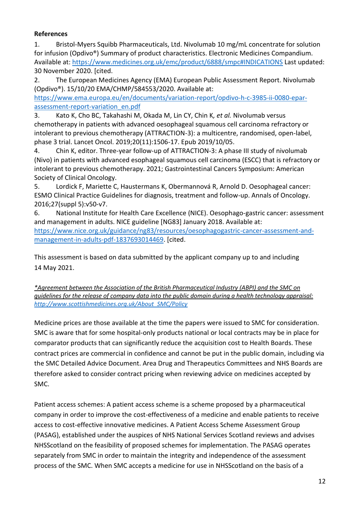#### **References**

1. Bristol-Myers Squibb Pharmaceuticals, Ltd. Nivolumab 10 mg/mL concentrate for solution for infusion (Opdivo®) Summary of product characteristics. Electronic Medicines Compandium. Available at:<https://www.medicines.org.uk/emc/product/6888/smpc#INDICATIONS> Last updated: 30 November 2020. [cited.

2. The European Medicines Agency (EMA) European Public Assessment Report. Nivolumab (Opdivo®). 15/10/20 EMA/CHMP/584553/2020. Available at:

[https://www.ema.europa.eu/en/documents/variation-report/opdivo-h-c-3985-ii-0080-epar](https://www.ema.europa.eu/en/documents/variation-report/opdivo-h-c-3985-ii-0080-epar-assessment-report-variation_en.pdf)[assessment-report-variation\\_en.pdf](https://www.ema.europa.eu/en/documents/variation-report/opdivo-h-c-3985-ii-0080-epar-assessment-report-variation_en.pdf)

3. Kato K, Cho BC, Takahashi M, Okada M, Lin CY, Chin K*, et al.* Nivolumab versus chemotherapy in patients with advanced oesophageal squamous cell carcinoma refractory or intolerant to previous chemotherapy (ATTRACTION-3): a multicentre, randomised, open-label, phase 3 trial. Lancet Oncol. 2019;20(11):1506-17. Epub 2019/10/05.

4. Chin K, editor. Three-year follow-up of ATTRACTION-3: A phase III study of nivolumab (Nivo) in patients with advanced esophageal squamous cell carcinoma (ESCC) that is refractory or intolerant to previous chemotherapy. 2021; Gastrointestinal Cancers Symposium: American Society of Clinical Oncology.

5. Lordick F, Mariette C, Haustermans K, Obermannová R, Arnold D. Oesophageal cancer: ESMO Clinical Practice Guidelines for diagnosis, treatment and follow-up. Annals of Oncology. 2016;27(suppl 5):v50-v7.

6. National Institute for Health Care Excellence (NICE). Oesophago-gastric cancer: assessment and management in adults. NICE guideline [NG83] January 2018. Available at: [https://www.nice.org.uk/guidance/ng83/resources/oesophagogastric-cancer-assessment-and](https://www.nice.org.uk/guidance/ng83/resources/oesophagogastric-cancer-assessment-and-management-in-adults-pdf-1837693014469)[management-in-adults-pdf-1837693014469.](https://www.nice.org.uk/guidance/ng83/resources/oesophagogastric-cancer-assessment-and-management-in-adults-pdf-1837693014469) [cited.

This assessment is based on data submitted by the applicant company up to and including 14 May 2021.

*\*Agreement between the Association of the British Pharmaceutical Industry (ABPI) and the SMC on guidelines for the release of company data into the public domain during a health technology appraisal: [http://www.scottishmedicines.org.uk/About\\_SMC/Policy](http://www.scottishmedicines.org.uk/About_SMC/Policy)*

Medicine prices are those available at the time the papers were issued to SMC for consideration. SMC is aware that for some hospital-only products national or local contracts may be in place for comparator products that can significantly reduce the acquisition cost to Health Boards. These contract prices are commercial in confidence and cannot be put in the public domain, including via the SMC Detailed Advice Document. Area Drug and Therapeutics Committees and NHS Boards are therefore asked to consider contract pricing when reviewing advice on medicines accepted by SMC.

Patient access schemes: A patient access scheme is a scheme proposed by a pharmaceutical company in order to improve the cost-effectiveness of a medicine and enable patients to receive access to cost-effective innovative medicines. A Patient Access Scheme Assessment Group (PASAG), established under the auspices of NHS National Services Scotland reviews and advises NHSScotland on the feasibility of proposed schemes for implementation. The PASAG operates separately from SMC in order to maintain the integrity and independence of the assessment process of the SMC. When SMC accepts a medicine for use in NHSScotland on the basis of a